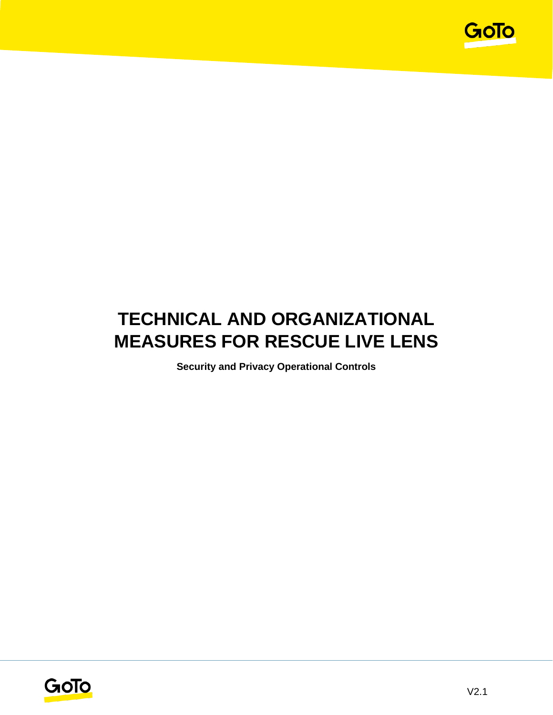

# **TECHNICAL AND ORGANIZATIONAL MEASURES FOR RESCUE LIVE LENS**

**Security and Privacy Operational Controls**

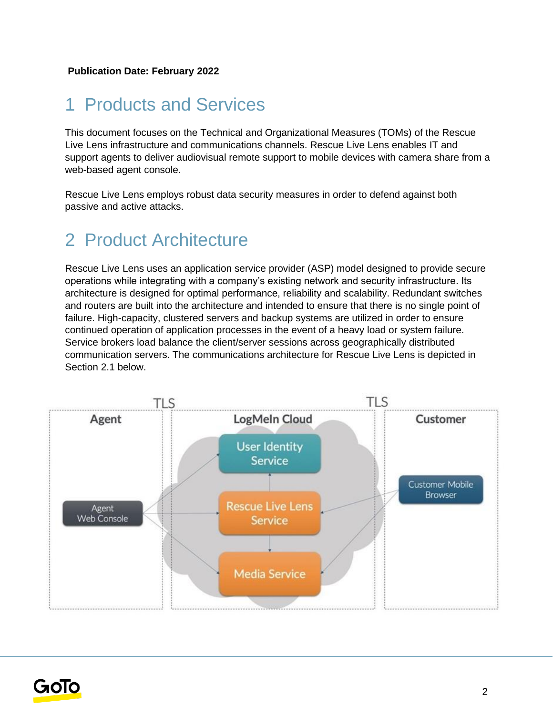# 1 Products and Services

This document focuses on the Technical and Organizational Measures (TOMs) of the Rescue Live Lens infrastructure and communications channels. Rescue Live Lens enables IT and support agents to deliver audiovisual remote support to mobile devices with camera share from a web-based agent console.

Rescue Live Lens employs robust data security measures in order to defend against both passive and active attacks.

# 2 Product Architecture

Rescue Live Lens uses an application service provider (ASP) model designed to provide secure operations while integrating with a company's existing network and security infrastructure. Its architecture is designed for optimal performance, reliability and scalability. Redundant switches and routers are built into the architecture and intended to ensure that there is no single point of failure. High-capacity, clustered servers and backup systems are utilized in order to ensure continued operation of application processes in the event of a heavy load or system failure. Service brokers load balance the client/server sessions across geographically distributed communication servers. The communications architecture for Rescue Live Lens is depicted in Section 2.1 below.



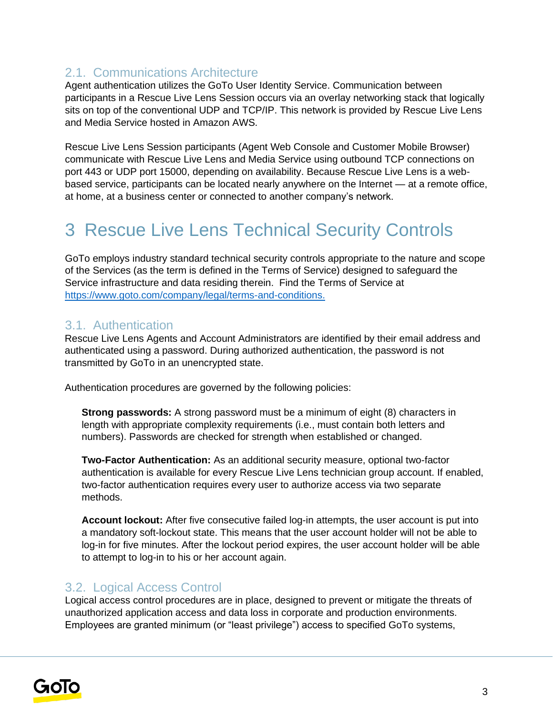# 2.1. Communications Architecture

Agent authentication utilizes the GoTo User Identity Service. Communication between participants in a Rescue Live Lens Session occurs via an overlay networking stack that logically sits on top of the conventional UDP and TCP/IP. This network is provided by Rescue Live Lens and Media Service hosted in Amazon AWS.

Rescue Live Lens Session participants (Agent Web Console and Customer Mobile Browser) communicate with Rescue Live Lens and Media Service using outbound TCP connections on port 443 or UDP port 15000, depending on availability. Because Rescue Live Lens is a webbased service, participants can be located nearly anywhere on the Internet — at a remote office, at home, at a business center or connected to another company's network.

# 3 Rescue Live Lens Technical Security Controls

GoTo employs industry standard technical security controls appropriate to the nature and scope of the Services (as the term is defined in the Terms of Service) designed to safeguard the Service infrastructure and data residing therein. Find the Terms of Service a[t](http://www.logmein.com/legal/terms-and-conditions) [https://www.goto.com/company/legal/terms-and-conditions.](https://www.goto.com/company/legal/terms-and-conditions)

### 3.1. Authentication

Rescue Live Lens Agents and Account Administrators are identified by their email address and authenticated using a password. During authorized authentication, the password is not transmitted by GoTo in an unencrypted state.

Authentication procedures are governed by the following policies:

**Strong passwords:** A strong password must be a minimum of eight (8) characters in length with appropriate complexity requirements (i.e., must contain both letters and numbers). Passwords are checked for strength when established or changed.

**Two-Factor Authentication:** As an additional security measure, optional two-factor authentication is available for every Rescue Live Lens technician group account. If enabled, two-factor authentication requires every user to authorize access via two separate methods.

**Account lockout:** After five consecutive failed log-in attempts, the user account is put into a mandatory soft-lockout state. This means that the user account holder will not be able to log-in for five minutes. After the lockout period expires, the user account holder will be able to attempt to log-in to his or her account again.

### 3.2. Logical Access Control

Logical access control procedures are in place, designed to prevent or mitigate the threats of unauthorized application access and data loss in corporate and production environments. Employees are granted minimum (or "least privilege") access to specified GoTo systems,

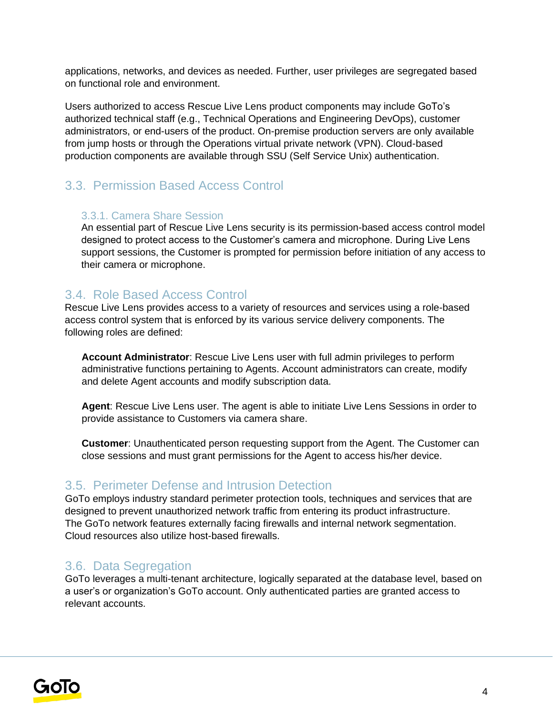applications, networks, and devices as needed. Further, user privileges are segregated based on functional role and environment.

Users authorized to access Rescue Live Lens product components may include GoTo's authorized technical staff (e.g., Technical Operations and Engineering DevOps), customer administrators, or end-users of the product. On-premise production servers are only available from jump hosts or through the Operations virtual private network (VPN). Cloud-based production components are available through SSU (Self Service Unix) authentication.

# 3.3. Permission Based Access Control

#### 3.3.1. Camera Share Session

An essential part of Rescue Live Lens security is its permission-based access control model designed to protect access to the Customer's camera and microphone. During Live Lens support sessions, the Customer is prompted for permission before initiation of any access to their camera or microphone.

## 3.4. Role Based Access Control

Rescue Live Lens provides access to a variety of resources and services using a role-based access control system that is enforced by its various service delivery components. The following roles are defined:

**Account Administrator**: Rescue Live Lens user with full admin privileges to perform administrative functions pertaining to Agents. Account administrators can create, modify and delete Agent accounts and modify subscription data.

**Agent**: Rescue Live Lens user. The agent is able to initiate Live Lens Sessions in order to provide assistance to Customers via camera share.

**Customer**: Unauthenticated person requesting support from the Agent. The Customer can close sessions and must grant permissions for the Agent to access his/her device.

## 3.5. Perimeter Defense and Intrusion Detection

GoTo employs industry standard perimeter protection tools, techniques and services that are designed to prevent unauthorized network traffic from entering its product infrastructure. The GoTo network features externally facing firewalls and internal network segmentation. Cloud resources also utilize host-based firewalls.

## 3.6. Data Segregation

GoTo leverages a multi-tenant architecture, logically separated at the database level, based on a user's or organization's GoTo account. Only authenticated parties are granted access to relevant accounts.

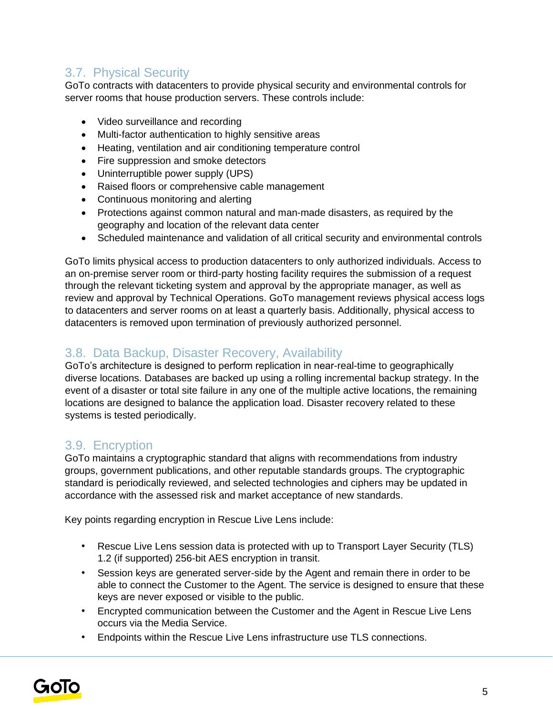# 3.7. Physical Security

GoTo contracts with datacenters to provide physical security and environmental controls for server rooms that house production servers. These controls include:

- Video surveillance and recording
- Multi-factor authentication to highly sensitive areas
- Heating, ventilation and air conditioning temperature control
- Fire suppression and smoke detectors
- Uninterruptible power supply (UPS)
- Raised floors or comprehensive cable management
- Continuous monitoring and alerting
- Protections against common natural and man-made disasters, as required by the geography and location of the relevant data center
- Scheduled maintenance and validation of all critical security and environmental controls

GoTo limits physical access to production datacenters to only authorized individuals. Access to an on-premise server room or third-party hosting facility requires the submission of a request through the relevant ticketing system and approval by the appropriate manager, as well as review and approval by Technical Operations. GoTo management reviews physical access logs to datacenters and server rooms on at least a quarterly basis. Additionally, physical access to datacenters is removed upon termination of previously authorized personnel.

# 3.8. Data Backup, Disaster Recovery, Availability

GoTo's architecture is designed to perform replication in near-real-time to geographically diverse locations. Databases are backed up using a rolling incremental backup strategy. In the event of a disaster or total site failure in any one of the multiple active locations, the remaining locations are designed to balance the application load. Disaster recovery related to these systems is tested periodically.

# 3.9. Encryption

GoTo maintains a cryptographic standard that aligns with recommendations from industry groups, government publications, and other reputable standards groups. The cryptographic standard is periodically reviewed, and selected technologies and ciphers may be updated in accordance with the assessed risk and market acceptance of new standards.

Key points regarding encryption in Rescue Live Lens include:

- Rescue Live Lens session data is protected with up to Transport Layer Security (TLS) 1.2 (if supported) 256-bit AES encryption in transit.
- Session keys are generated server-side by the Agent and remain there in order to be able to connect the Customer to the Agent. The service is designed to ensure that these keys are never exposed or visible to the public.
- Encrypted communication between the Customer and the Agent in Rescue Live Lens occurs via the Media Service.
- Endpoints within the Rescue Live Lens infrastructure use TLS connections.

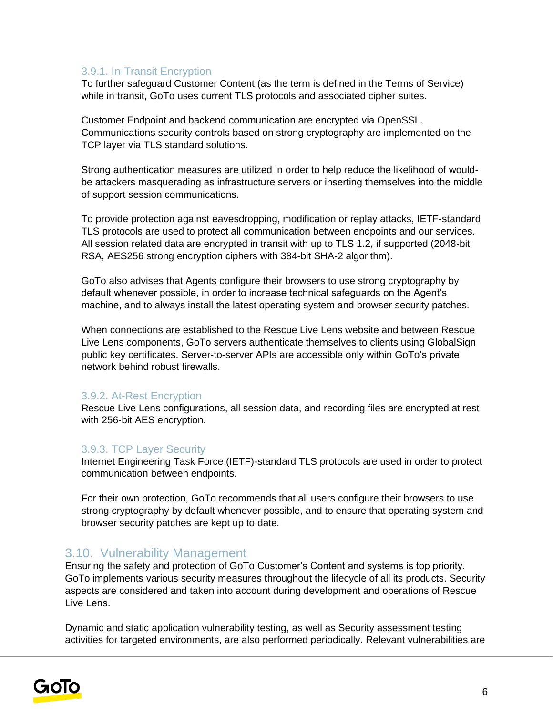#### 3.9.1. In-Transit Encryption

To further safeguard Customer Content (as the term is defined in the Terms of Service) while in transit, GoTo uses current TLS protocols and associated cipher suites.

Customer Endpoint and backend communication are encrypted via OpenSSL. Communications security controls based on strong cryptography are implemented on the TCP layer via TLS standard solutions.

Strong authentication measures are utilized in order to help reduce the likelihood of wouldbe attackers masquerading as infrastructure servers or inserting themselves into the middle of support session communications.

To provide protection against eavesdropping, modification or replay attacks, IETF-standard TLS protocols are used to protect all communication between endpoints and our services. All session related data are encrypted in transit with up to TLS 1.2, if supported (2048-bit RSA, AES256 strong encryption ciphers with 384-bit SHA-2 algorithm).

GoTo also advises that Agents configure their browsers to use strong cryptography by default whenever possible, in order to increase technical safeguards on the Agent's machine, and to always install the latest operating system and browser security patches.

When connections are established to the Rescue Live Lens website and between Rescue Live Lens components, GoTo servers authenticate themselves to clients using GlobalSign public key certificates. Server-to-server APIs are accessible only within GoTo's private network behind robust firewalls.

#### 3.9.2. At-Rest Encryption

Rescue Live Lens configurations, all session data, and recording files are encrypted at rest with 256-bit AES encryption.

#### 3.9.3. TCP Layer Security

Internet Engineering Task Force (IETF)-standard TLS protocols are used in order to protect communication between endpoints.

For their own protection, GoTo recommends that all users configure their browsers to use strong cryptography by default whenever possible, and to ensure that operating system and browser security patches are kept up to date.

#### 3.10. Vulnerability Management

Ensuring the safety and protection of GoTo Customer's Content and systems is top priority. GoTo implements various security measures throughout the lifecycle of all its products. Security aspects are considered and taken into account during development and operations of Rescue Live Lens.

Dynamic and static application vulnerability testing, as well as Security assessment testing activities for targeted environments, are also performed periodically. Relevant vulnerabilities are

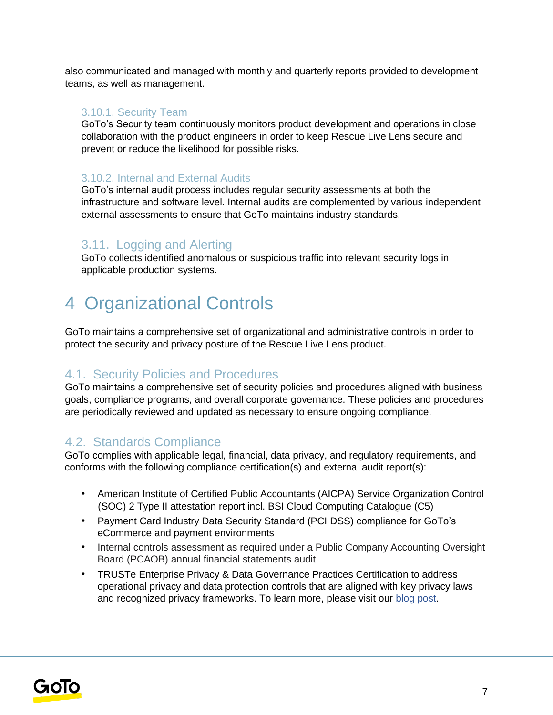also communicated and managed with monthly and quarterly reports provided to development teams, as well as management.

#### 3.10.1. Security Team

GoTo's Security team continuously monitors product development and operations in close collaboration with the product engineers in order to keep Rescue Live Lens secure and prevent or reduce the likelihood for possible risks.

#### 3.10.2. Internal and External Audits

GoTo's internal audit process includes regular security assessments at both the infrastructure and software level. Internal audits are complemented by various independent external assessments to ensure that GoTo maintains industry standards.

### 3.11. Logging and Alerting

GoTo collects identified anomalous or suspicious traffic into relevant security logs in applicable production systems.

# 4 Organizational Controls

GoTo maintains a comprehensive set of organizational and administrative controls in order to protect the security and privacy posture of the Rescue Live Lens product.

### 4.1. Security Policies and Procedures

GoTo maintains a comprehensive set of security policies and procedures aligned with business goals, compliance programs, and overall corporate governance. These policies and procedures are periodically reviewed and updated as necessary to ensure ongoing compliance.

### 4.2. Standards Compliance

GoTo complies with applicable legal, financial, data privacy, and regulatory requirements, and conforms with the following compliance certification(s) and external audit report(s):

- American Institute of Certified Public Accountants (AICPA) Service Organization Control (SOC) 2 Type II attestation report incl. BSI Cloud Computing Catalogue (C5)
- Payment Card Industry Data Security Standard (PCI DSS) compliance for GoTo's eCommerce and payment environments
- Internal controls assessment as required under a Public Company Accounting Oversight Board (PCAOB) annual financial statements audit
- TRUSTe Enterprise Privacy & Data Governance Practices Certification to address operational privacy and data protection controls that are aligned with key privacy laws and recognized privacy frameworks. To learn more, please visit ou[r](https://blog.logmeininc.com/logmein-furthers-commitment-to-data-privacy-with-truste-enterprise-privacy-certification-seal/?lang=en) [blog post](https://www.goto.com/blog/logmein-furthers-commitment-to-data-privacy-with-truste-enterprise-privacy-certification-seal)[.](https://blog.logmeininc.com/logmein-furthers-commitment-to-data-privacy-with-truste-enterprise-privacy-certification-seal/?lang=en)

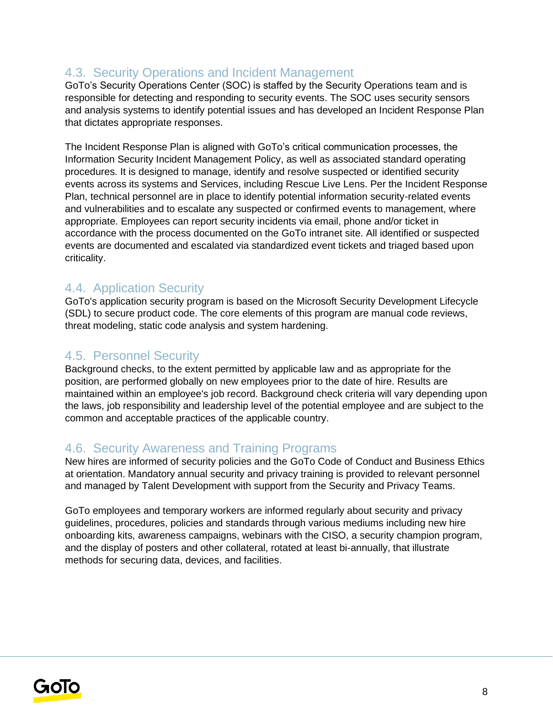## 4.3. Security Operations and Incident Management

GoTo's Security Operations Center (SOC) is staffed by the Security Operations team and is responsible for detecting and responding to security events. The SOC uses security sensors and analysis systems to identify potential issues and has developed an Incident Response Plan that dictates appropriate responses.

The Incident Response Plan is aligned with GoTo's critical communication processes, the Information Security Incident Management Policy, as well as associated standard operating procedures. It is designed to manage, identify and resolve suspected or identified security events across its systems and Services, including Rescue Live Lens. Per the Incident Response Plan, technical personnel are in place to identify potential information security-related events and vulnerabilities and to escalate any suspected or confirmed events to management, where appropriate. Employees can report security incidents via email, phone and/or ticket in accordance with the process documented on the GoTo intranet site. All identified or suspected events are documented and escalated via standardized event tickets and triaged based upon criticality.

### 4.4. Application Security

GoTo's application security program is based on the Microsoft Security Development Lifecycle (SDL) to secure product code. The core elements of this program are manual code reviews, threat modeling, static code analysis and system hardening.

### 4.5. Personnel Security

Background checks, to the extent permitted by applicable law and as appropriate for the position, are performed globally on new employees prior to the date of hire. Results are maintained within an employee's job record. Background check criteria will vary depending upon the laws, job responsibility and leadership level of the potential employee and are subject to the common and acceptable practices of the applicable country.

#### 4.6. Security Awareness and Training Programs

New hires are informed of security policies and the GoTo Code of Conduct and Business Ethics at orientation. Mandatory annual security and privacy training is provided to relevant personnel and managed by Talent Development with support from the Security and Privacy Teams.

GoTo employees and temporary workers are informed regularly about security and privacy guidelines, procedures, policies and standards through various mediums including new hire onboarding kits, awareness campaigns, webinars with the CISO, a security champion program, and the display of posters and other collateral, rotated at least bi-annually, that illustrate methods for securing data, devices, and facilities.

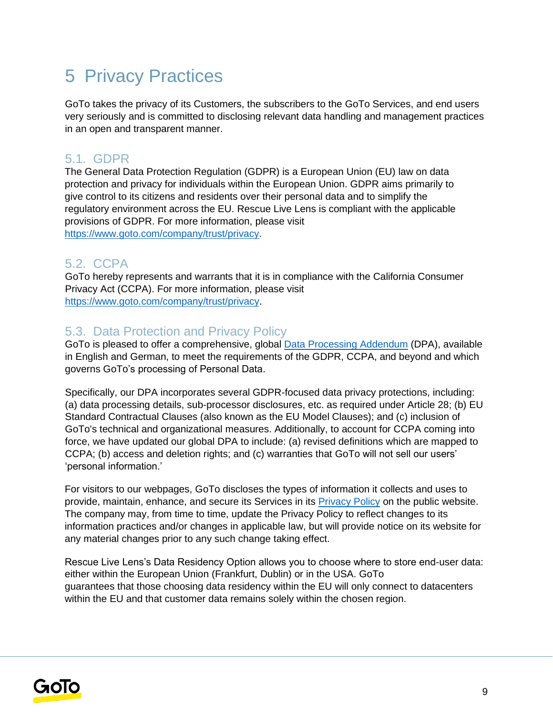# 5 Privacy Practices

GoTo takes the privacy of its Customers, the subscribers to the GoTo Services, and end users very seriously and is committed to disclosing relevant data handling and management practices in an open and transparent manner.

## 5.1. GDPR

The General Data Protection Regulation (GDPR) is a European Union (EU) law on data protection and privacy for individuals within the European Union. GDPR aims primarily to give control to its citizens and residents over their personal data and to simplify the regulatory environment across the EU. Rescue Live Lens is compliant with the applicable provisions of GDPR. For more information, please visit [https://www.goto.com/company/trust/privacy.](https://www.goto.com/company/trust/privacy)

# 5.2. CCPA

GoTo hereby represents and warrants that it is in compliance with the California Consumer Privacy Act (CCPA). For more information, please visit [https://www.goto.com/company/trust/privacy.](https://www.goto.com/company/trust/privacy)

## 5.3. Data Protection and Privacy Policy

GoTo is pleased to offer a comprehensive, global [Data Processing Addendum](https://www.goto.com/company/legal) (DPA), available in [English](https://www.docusign.net/Member/PowerFormSigning.aspx?PowerFormId=87db4c61-3929-4ccb-ab58-b202e064c4a1) and [German,](https://www.docusign.net/Member/PowerFormSigning.aspx?PowerFormId=29541afa-3cf0-4d7c-90f8-e971a0866b8e&env=na1) to meet the requirements of the GDPR, CCPA, and beyond and which governs GoTo's processing of Personal Data.

Specifically, our DPA incorporates several GDPR-focused data privacy protections, including: (a) data processing details, sub-processor disclosures, etc. as required under Article 28; (b) EU Standard Contractual Clauses (also known as the EU Model Clauses); and (c) inclusion of GoTo's technical and organizational measures. Additionally, to account for CCPA coming into force, we have updated our global DPA to include: (a) revised definitions which are mapped to CCPA; (b) access and deletion rights; and (c) warranties that GoTo will not sell our users' 'personal information.'

For visitors to our webpages, GoTo discloses the types of information it collects and uses to provide, maintain, enhance, and secure its Services in its **Privacy Policy** on the public website. The company may, from time to time, update the Privacy Policy to reflect changes to its information practices and/or changes in applicable law, but will provide notice on its website for any material changes prior to any such change taking effect.

Rescue Live Lens's Data Residency Option allows you to choose where to store end-user data: either within the European Union (Frankfurt, Dublin) or in the USA. GoTo guarantees that those choosing data residency within the EU will only connect to datacenters within the EU and that customer data remains solely within the chosen region.

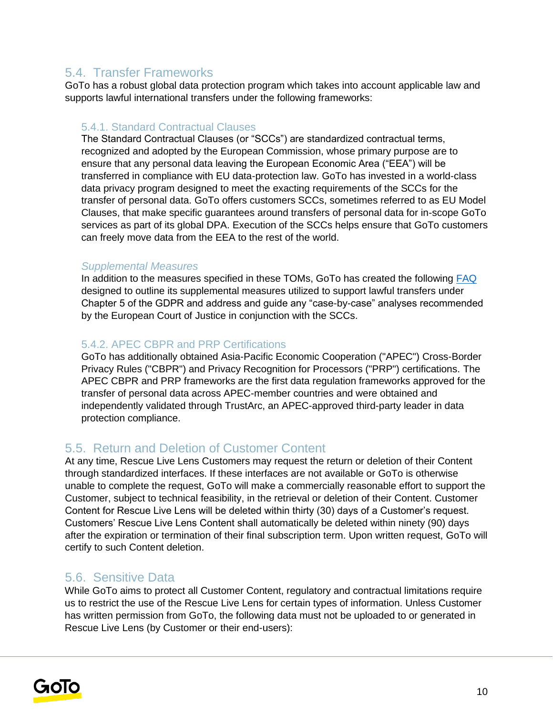# 5.4. Transfer Frameworks

GoTo has a robust global data protection program which takes into account applicable law and supports lawful international transfers under the following frameworks:

#### 5.4.1. Standard Contractual Clauses

The Standard Contractual Clauses (or "SCCs") are standardized contractual terms, recognized and adopted by the European Commission, whose primary purpose are to ensure that any personal data leaving the European Economic Area ("EEA") will be transferred in compliance with EU data-protection law. GoTo has invested in a world-class data privacy program designed to meet the exacting requirements of the SCCs for the transfer of personal data. GoTo offers customers SCCs, sometimes referred to as EU Model Clauses, that make specific guarantees around transfers of personal data for in-scope GoTo services as part of its global DPA. Execution of the SCCs helps ensure that GoTo customers can freely move data from the EEA to the rest of the world.

#### *Supplemental Measures*

In addition to the measures specified in these TOMs, GoTo has created the following [FAQ](https://logmeincdn.azureedge.net/legal/international-data-transfers-faq.pdf) designed to outline its supplemental measures utilized to support lawful transfers under Chapter 5 of the GDPR and address and guide any "case-by-case" analyses recommended by the European Court of Justice in conjunction with the SCCs.

#### 5.4.2. APEC CBPR and PRP Certifications

GoTo has additionally obtained Asia-Pacific Economic Cooperation ("APEC") Cross-Border Privacy Rules ("CBPR") and Privacy Recognition for Processors ("PRP") certifications. The APEC CBPR and PRP frameworks are the first data regulation frameworks approved for the transfer of personal data across APEC-member countries and were obtained and independently validated through TrustArc, an APEC-approved third-party leader in data protection compliance.

### 5.5. Return and Deletion of Customer Content

At any time, Rescue Live Lens Customers may request the return or deletion of their Content through standardized interfaces. If these interfaces are not available or GoTo is otherwise unable to complete the request, GoTo will make a commercially reasonable effort to support the Customer, subject to technical feasibility, in the retrieval or deletion of their Content. Customer Content for Rescue Live Lens will be deleted within thirty (30) days of a Customer's request. Customers' Rescue Live Lens Content shall automatically be deleted within ninety (90) days after the expiration or termination of their final subscription term. Upon written request, GoTo will certify to such Content deletion.

### 5.6. Sensitive Data

While GoTo aims to protect all Customer Content, regulatory and contractual limitations require us to restrict the use of the Rescue Live Lens for certain types of information. Unless Customer has written permission from GoTo, the following data must not be uploaded to or generated in Rescue Live Lens (by Customer or their end-users):

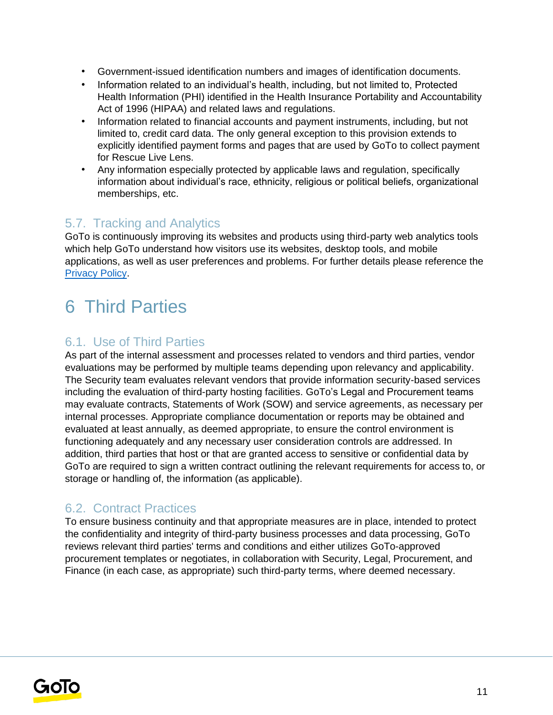- Government-issued identification numbers and images of identification documents.
- Information related to an individual's health, including, but not limited to, Protected Health Information (PHI) identified in the Health Insurance Portability and Accountability Act of 1996 (HIPAA) and related laws and regulations.
- Information related to financial accounts and payment instruments, including, but not limited to, credit card data. The only general exception to this provision extends to explicitly identified payment forms and pages that are used by GoTo to collect payment for Rescue Live Lens.
- Any information especially protected by applicable laws and regulation, specifically information about individual's race, ethnicity, religious or political beliefs, organizational memberships, etc.

### 5.7. Tracking and Analytics

GoTo is continuously improving its websites and products using third-party web analytics tools which help GoTo understand how visitors use its websites, desktop tools, and mobile applications, as well as user preferences and problems. For further details please reference the [Privacy Policy](https://www.goto.com/company/legal/privacy)[.](https://www.logmein.com/legal/privacy)

# 6 Third Parties

### 6.1. Use of Third Parties

As part of the internal assessment and processes related to vendors and third parties, vendor evaluations may be performed by multiple teams depending upon relevancy and applicability. The Security team evaluates relevant vendors that provide information security-based services including the evaluation of third-party hosting facilities. GoTo's Legal and Procurement teams may evaluate contracts, Statements of Work (SOW) and service agreements, as necessary per internal processes. Appropriate compliance documentation or reports may be obtained and evaluated at least annually, as deemed appropriate, to ensure the control environment is functioning adequately and any necessary user consideration controls are addressed. In addition, third parties that host or that are granted access to sensitive or confidential data by GoTo are required to sign a written contract outlining the relevant requirements for access to, or storage or handling of, the information (as applicable).

#### 6.2. Contract Practices

To ensure business continuity and that appropriate measures are in place, intended to protect the confidentiality and integrity of third-party business processes and data processing, GoTo reviews relevant third parties' terms and conditions and either utilizes GoTo-approved procurement templates or negotiates, in collaboration with Security, Legal, Procurement, and Finance (in each case, as appropriate) such third-party terms, where deemed necessary.